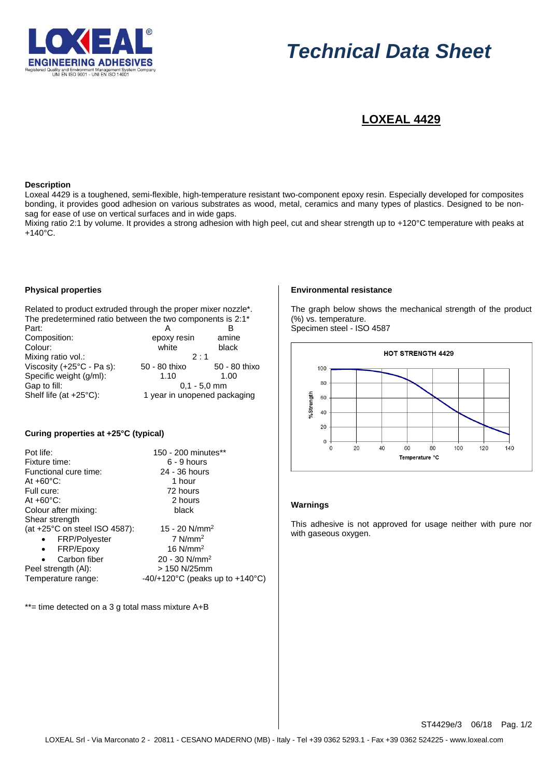

# *Technical Data Sheet*

# **LOXEAL 4429**

#### **Description**

Loxeal 4429 is a toughened, semi-flexible, high-temperature resistant two-component epoxy resin. Especially developed for composites bonding, it provides good adhesion on various substrates as wood, metal, ceramics and many types of plastics. Designed to be nonsag for ease of use on vertical surfaces and in wide gaps.

Mixing ratio 2:1 by volume. It provides a strong adhesion with high peel, cut and shear strength up to +120°C temperature with peaks at +140°C.

# **Physical properties**

Related to product extruded through the proper mixer nozzle\*. The predetermined ratio between the two components is 2:1\*

| Part:                     |                              | R             |
|---------------------------|------------------------------|---------------|
| Composition:              | epoxy resin                  | amine         |
| Colour:                   | white                        | black         |
| Mixing ratio vol.:        | $2 \cdot 1$                  |               |
| Viscosity (+25°C - Pa s): | 50 - 80 thixo                | 50 - 80 thixo |
| Specific weight (g/ml):   | 1.10                         | 1.00          |
| Gap to fill:              | $0.1 - 5.0$ mm               |               |
| Shelf life (at +25°C):    | 1 year in unopened packaging |               |

# **Curing properties at +25°C (typical)**

| Pot life:                               | 150 - 200 minutes**                                   |
|-----------------------------------------|-------------------------------------------------------|
| Fixture time:                           | $6 - 9$ hours                                         |
| Functional cure time:                   | 24 - 36 hours                                         |
| At $+60^{\circ}$ C:                     | 1 hour                                                |
| Full cure:                              | 72 hours                                              |
| At $+60^{\circ}$ C:                     | 2 hours                                               |
| Colour after mixing:                    | black                                                 |
| Shear strength                          |                                                       |
| (at $+25^{\circ}$ C on steel ISO 4587): | 15 - 20 $N/mm^2$                                      |
| <b>FRP/Polyester</b>                    | $7$ N/mm <sup>2</sup>                                 |
| FRP/Epoxy<br>$\bullet$                  | 16 $N/mm2$                                            |
| Carbon fiber                            | $20 - 30$ N/mm <sup>2</sup>                           |
| Peel strength (AI):                     | $> 150$ N/25mm                                        |
| Temperature range:                      | -40/+120 $^{\circ}$ C (peaks up to +140 $^{\circ}$ C) |
|                                         |                                                       |

\*\*= time detected on a 3 g total mass mixture A+B

#### **Environmental resistance**

The graph below shows the mechanical strength of the product (%) vs. temperature.

Specimen steel - ISO 4587



#### **Warnings**

This adhesive is not approved for usage neither with pure nor with gaseous oxygen.

ST4429e/3 06/18 Pag. 1/2